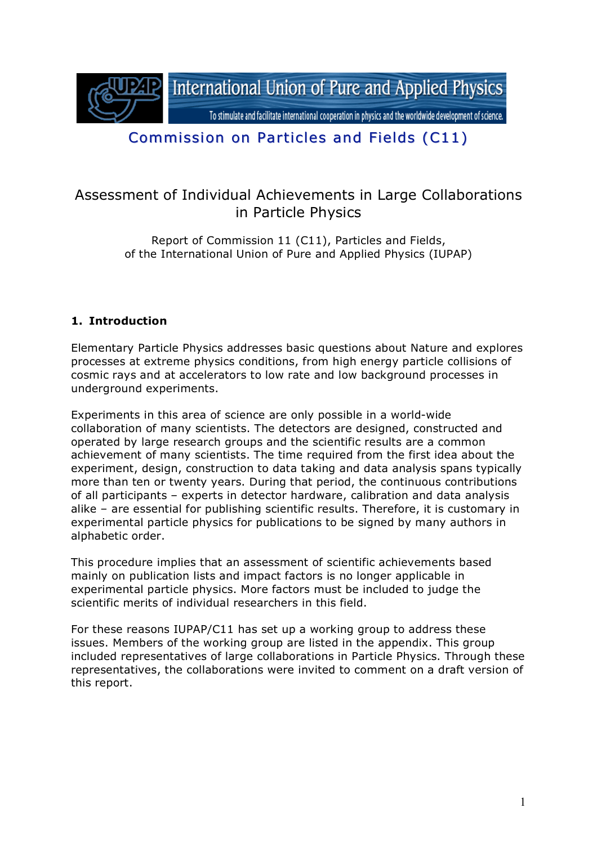

# Commission on Particles and Fields (C11)

## Assessment of Individual Achievements in Large Collaborations in Particle Physics

Report of Commission 11 (C11), Particles and Fields, of the International Union of Pure and Applied Physics (IUPAP)

### **1. Introduction**

Elementary Particle Physics addresses basic questions about Nature and explores processes at extreme physics conditions, from high energy particle collisions of cosmic rays and at accelerators to low rate and low background processes in underground experiments.

Experiments in this area of science are only possible in a world-wide collaboration of many scientists. The detectors are designed, constructed and operated by large research groups and the scientific results are a common achievement of many scientists. The time required from the first idea about the experiment, design, construction to data taking and data analysis spans typically more than ten or twenty years. During that period, the continuous contributions of all participants – experts in detector hardware, calibration and data analysis alike – are essential for publishing scientific results. Therefore, it is customary in experimental particle physics for publications to be signed by many authors in alphabetic order.

This procedure implies that an assessment of scientific achievements based mainly on publication lists and impact factors is no longer applicable in experimental particle physics. More factors must be included to judge the scientific merits of individual researchers in this field.

For these reasons IUPAP/C11 has set up a working group to address these issues. Members of the working group are listed in the appendix. This group included representatives of large collaborations in Particle Physics. Through these representatives, the collaborations were invited to comment on a draft version of this report.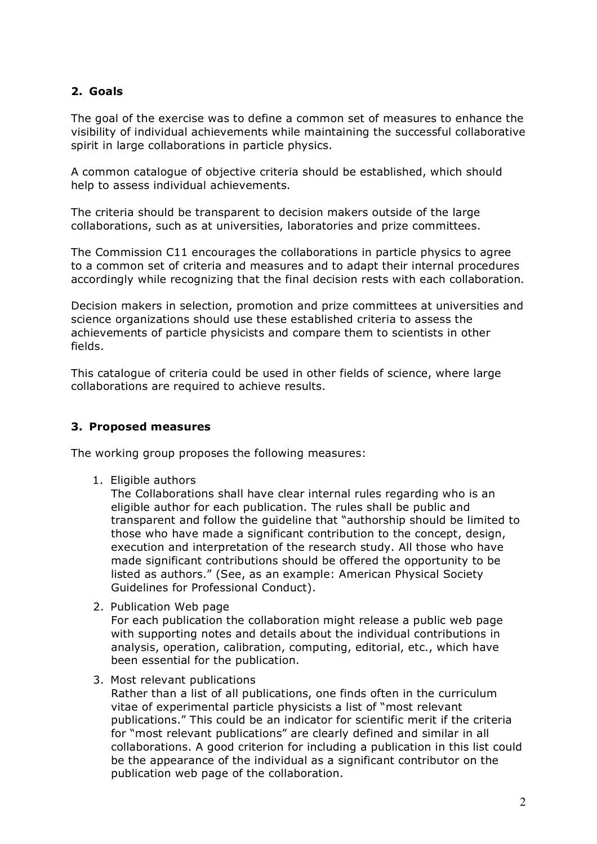### **2. Goals**

The goal of the exercise was to define a common set of measures to enhance the visibility of individual achievements while maintaining the successful collaborative spirit in large collaborations in particle physics.

A common catalogue of objective criteria should be established, which should help to assess individual achievements.

The criteria should be transparent to decision makers outside of the large collaborations, such as at universities, laboratories and prize committees.

The Commission C11 encourages the collaborations in particle physics to agree to a common set of criteria and measures and to adapt their internal procedures accordingly while recognizing that the final decision rests with each collaboration.

Decision makers in selection, promotion and prize committees at universities and science organizations should use these established criteria to assess the achievements of particle physicists and compare them to scientists in other fields.

This catalogue of criteria could be used in other fields of science, where large collaborations are required to achieve results.

#### **3. Proposed measures**

The working group proposes the following measures:

1. Eligible authors

The Collaborations shall have clear internal rules regarding who is an eligible author for each publication. The rules shall be public and transparent and follow the guideline that "authorship should be limited to those who have made a significant contribution to the concept, design, execution and interpretation of the research study. All those who have made significant contributions should be offered the opportunity to be listed as authors." (See, as an example: American Physical Society Guidelines for Professional Conduct).

2. Publication Web page

For each publication the collaboration might release a public web page with supporting notes and details about the individual contributions in analysis, operation, calibration, computing, editorial, etc., which have been essential for the publication.

3. Most relevant publications

Rather than a list of all publications, one finds often in the curriculum vitae of experimental particle physicists a list of "most relevant publications." This could be an indicator for scientific merit if the criteria for "most relevant publications" are clearly defined and similar in all collaborations. A good criterion for including a publication in this list could be the appearance of the individual as a significant contributor on the publication web page of the collaboration.